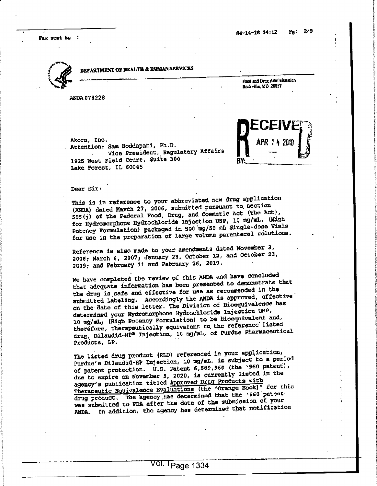Fax sent  $b_1$  :



i

1

!i

i1

> in the case of the I

> > I

ji<br>i i

in the context of the context of the context of the con-

1?1

> i!

## DEPARTMENT OF HEALTH & HUMAN SERVICES

Attention; Sam Boddapati, Ph.D.

Lake Forest, IL 60045

<sup>1925</sup> West Field Court, Suite <sup>300</sup> •

ANDA <sup>078228</sup> <sup>i</sup>

Akorn, Inc.

RAkorn, Inc.<br>Attention: Sam Boddapati, Ph.D.<br>Vice President, Regulatory Affairs  $\begin{bmatrix} \text{LCEIV} \\ \text{APR 14 2010} \\ - \end{bmatrix}$  $APR$  1 4 2010  $\left[\begin{matrix} 6 & 1 \ 3 & 1 \end{matrix}\right]$ BY: :

if

i

J.

I:

t.

iI

Food and Drug Administration

 $\Delta$  Dear Sir: Dear Sir:

•

This is in reference to your abbreviated new drug application (ANDA) dated Harth 27, 2006, submitted pursuan<sup>t</sup> to. section 505(5) of the Federal Food, Drug, and Cosmetic Act (the Act), for Hydromorphone Hydrochloride Injection usp, <sup>10</sup> mg/raL, (High Potency Formulation) packaged in 500 mg/50 mL Single-dose Vials for use in the preparation of large volume parenteral solutions. I'D THE THE CHAPTER CONTROL OF THE CHAPTER OF THE CHAPTER OF THE CHAPTER OF THE CHAPTER OF THE CHAPTER OF THE CHAPTER OF THE CHAPTER OF THE CHAPTER OF THE CHAPTER OF THE CHAPTER OF THE CHAPTER OF THE CHAPTER OF THE CHAPTER

Lake Forest, IL bouse and the contract of the contract of the contract of the contract of the contract of the contract of the contract of the contract of the contract of the contract of the contract of the contract of the

de la construcción de la construcción de la construcción de la construcción de la construcción de la construcc<br>En la construcción de la construcción de la construcción de la construcción de la construcción de la construcc

Vice President, Regulatory Affairs

 $\frac{1}{2}$ 

Reference is also made to your amendments dated November 3,  $\sim$  100  $\sim$  100  $\sim$  100  $\sim$  100  $\sim$  100  $\sim$  100  $\sim$  100  $\sim$  100  $\sim$  100  $\sim$  100  $\sim$  100  $\sim$  100  $\sim$  100  $\sim$  100  $\sim$  100  $\sim$  100  $\sim$  100  $\sim$  100  $2006$ ; March 6, 2007; January 28, October 12, and October 23, 2009; and February <sup>11</sup> and February 26, 2010, •  $2006$ ;  $max(10, 200)$ ,  $max(26, 2010)$ 

ROMAN SERVICES<br>
He-14-18 14:12 Pp: 29<br>
ROMAN SERVICES<br>
1. F.D.<br>
1. F.D.<br>
1. F. R.<br>
1. F. R.<br>
1. F. R.<br>
1. F. R.<br>
1. F. R.<br>
1. F. R.<br>
1. F. R.<br>
1. F. R.<br>
1. F. R.<br>
1. F. R.<br>
1. F. R.<br>
1. F. R.<br>
1. F. R.<br>
1. F. R.<br>
1. F. R. we have completed the review pf this ANDA and have concluded that adequate information has been presented to demonstrate that the drug is safe and effective for use as recommended in the submitted labeling. Accordingly the ANDA is approved, effective on the date of this letter. The Division of Bioequivalenoe has determined your Kydromorphone Hydrochloride Injection USP, 10 mg/mL, (High Potency Formulation) to be bioequivalent and, therefore, therapeutically equivalent to the reference listed<br>
Interefore, therapeutically equivalent to the reference listed drug, Dilaudid-HP® Injection, 10 mg/mL, of Purdue Pharmaceutical<br>Droducta LP. This is in reference to your abbreviated new drug application<br>(ANDA) dated March 27, 2006, submitted nureaunt to Section<br>(ANDA) dated March 27, 2006, submitted nureaunt to Section<br>for Hyfomorphone Hyford-charge of the And 2009; and February 11 and February 26, 2010.<br>We have completed the review of this ANDA and have concluded<br>that adequate information has been presented to demonstrate that<br>the drug is safe and effective for use as recommend

Products, LP.<br>The listed drug product (RLD) referenced in your application, Purdue's Dilaudid-HP Injection, 10 mg/mL, is subject to a period of patent protection. U.S. Patent 6,589,960 (the \*960 patent), due to expire on November 3, 2020, is currently listed in the agency's publication titled Approved Drug Products with Therapeutic Equivalence Evaluations (the \*Orange Book)" for this drug product. The agency has determined that the '960 patentwas submitted to PDA after the date of the submission of your<br>ANDA. In addition, the agency has determined that notification The listed drug product (RLD) referenced in your application,<br>
Purdue's Dilaudid-HF Injection, 10 mg/mL, is subject to a geriod<br>
of patent protection. U.S. Patent 6,589,960 (the '960 patent),<br>
due to expire on November 3,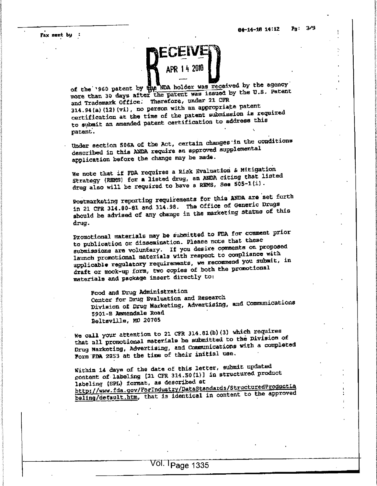fc**f** for their I

I

1I

> Ii

Fax sent by  $\colon$ 

!

i

!!

I

•?

I

**Internet** 

3i

i

**32.000 EXP** 



of the '960 patent by the NDA holder was received by the agency of the '960 patent by the NDA holder was redeaved by the U.S. Patent<br>
more than 30 days after the patent was issued by the U.S. Patent<br>
and Trademark Office. Therefore, under 21 CFR<br>
314.94(a)(12)(vi), no person with an ap and Trademark Office; Therefore, under <sup>21</sup> CFR 314.94(a) (12) (vi) , no person with an appropriate patent certification at the time of the patent submission is required to submit an amended patent certification to address this

 $\mathbf{I} = \mathbf{I} \mathbf{I} + \mathbf{I} \mathbf{I} \mathbf{I} + \mathbf{I} \mathbf{I} \mathbf{I} \mathbf{I}$ J Under section 506A of the Act, certain changes in the conditions described in this AHDA require an approve<sup>d</sup> supplemental application before the change may be made.

> We note that if FDA requires <sup>a</sup> Risk Evaluation & Mitigation e hold once the series are in a NNDA citing that listed drug also will be required to have a REMS, Sea 505-1(1).

Postmarketing reporting requirements for this ANDA are set forth in <sup>21</sup> CFR 314.80-81 and 314.98. The office of Generic Drugs should be advised of any change in the marketing status of this drug.

Promotional materials may be submitted to FDA for comment prior to publication or dissemination. Please note that these submissions are voluntary. If you desire comments on proposed launch promotional materials with respec<sup>t</sup> to compliance with applicable regulatory requirements, we recommend you submit, in<br>applicable regulatory requirements, we recommend you submit, in draft or mock-up form, two copies of both the promotional draft or mock-up form, two copies of both the promotional exact of mock-up form, we constructly to:<br>
materials and package insert directly to: their enerths fissing of the Act, certain changes in the communications<br>described in this NDM require an approved supplemental<br>application before the change may be mude.<br>We note that if FDA requires a kink Nyalusticia & Mi

Food and Drug Administration Center for Drug Evaluation and Research Division of Drug Marketing, Advertising, and Communications <sup>5901</sup> -B Ammendale Road '

 We call your attention to <sup>21</sup> CFR 314.81(b)(3) which requires that all promotional materials be submitted to the Division of Drug Marketing, Advertising, and Communications with <sup>a</sup> completed We call your attention to 21 CFR 314.81(b)(3) which requires<br>that all promotional materials be submitted to the Division of<br>Drug Marketing, Advertising, and Communications with a completed<br>Porm FDA 2253 at the time of thei

> Within <sup>14</sup> days of the date of this letter, submit updated content of labeling [21 CFR 314.50(1)] in structured product labeling (SPL) format, as described at http://www.fda.gov/ForIndustry/DataStandards/StructuredProductLa baling/default.htm, that is identical in content to the approved

 $\mathbf{1}_{\mathcal{A}}$  , and the set of the set of the set of the set of the set of the set of the set of the set of the set of the set of the set of the set of the set of the set of the set of the set of the set of the set of th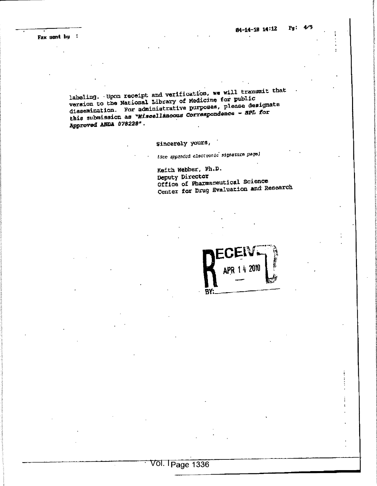Fax sent by :

labeling. Upon receipt and verification, we will transmit that version to the National Library of Medicine for public dissemination. For administrative purposes, please designate<br>this submission as "Miscellaneous Correspondence - SPL for Approved ANDA 078228".

Sincerely yours,

(See appended electronic signature page)

Keith Webber, Ph.D. Deputy Director Office of Pharmaceutical Science Center for Drug Evaluation and Research

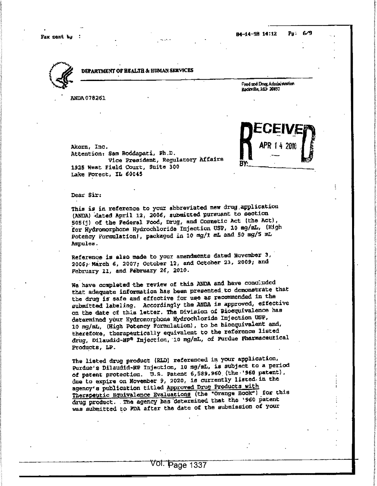Pax sent by : the contract of the contract of the contract of the contract of the contract of the contract of the contract of the contract of the contract of the contract of the contract of the contract of the contract of

Food and Drag Administration Rockville, MD 20157

IsIfr

?-

i:t

të.

ItI

f:f

t1

ž.



**International** 

I

f

**In the Communication of the Communication** 

i2

Ii

!

I

1

!

in the color of the color

5

DEPARTMENT OP HEALTH & HUMAN SERVICES i

ANDA <sup>078361</sup> <sup>I</sup><sup>I</sup>



Akorn, Inc. Attention: Sam Boddapati, Ph.D. Vice President, Regulatory Affairs 1925 West Field Court, Suite 300 Attention: Sam Boddapati, Ph.D.<br>
Vice President, Regulatory Affairs<br>
1925 West Field Court, Suite 300<br>
Lake Porest, IL 60045

 <sup>I</sup> Dear Sir: **Dear Six:**  $\qquad \qquad$ 

> This is in reference to your abbreviated new drug.application (ANDA) -dated April 12, 2006, submitted pursuan<sup>t</sup> to section 505(3) of the Federal Food, Drug, and cosmetic Act (the Act), for Hydromorphone Hydrochloride Injection USP, 10 mg/mL, (High Potency Formulation), packaged in 10 mg/1 mL and 50 mg/5 mL Ampules .

<sup>i</sup><sup>I</sup>

de la construcción de la construcción de la construcción de la construcción de la construcción de la construcc

napules.<br>Reference is also made to your amendments dated November 3, 2006,- March 6, 2007? October 12, and October 33, 2009; and February II, and February 26, 2010. Reference is also made to your amendments dated Movember 3,<br>2006; March 6, 2007; October 12, and October 23, 2009; and<br>February 11, and February 26, 2010.

For each to  $\mu$ <br>
International operation in the state of the state of the state of the state of the state of the state of the state of the state of the state of the state of the state of the state of the state of the sta We have completed the review of this ANDA and have concluded that adequate information has been presented to demonstrate that is a set of the state of the state of the state of the state of the state of the state of the state of the state of the state of the state of the state of th the drug is' safe and effective for use as recommended in the submitted labeling. Accordingly the ANDA is approved, effective and submitted labeling. Accordingly the ANDA is approved, effective on the date of this letter. The Division of Sioequivalence has determined your Hydromorphone Hydrochloride Injection USP, <sup>10</sup> mg/mL, (High Potency Formulation) , to be bioequivaient and, therefore, therapeutically equivalent to the reference listed drug, Dilaudid-HF® Injection, <sup>10</sup> mg/mL, of Purdue pharmaceutical Products, LP. when leads to find the submitted to find a submitted to find a submitted to the submitted of the submitted of the submitted of the submitted of the submitted of the submitted of the submitted of the submitted of the submi

The listed drug product (RLD) referenced in your application, Purdue's Dilaudid-HP injection, <sup>10</sup> mg/mL, is subject to <sup>a</sup> period of patent protection. D.s. patent 6,589,960. (the-'960 patent), due to expire on November 9, 2020, la currently listed, in the agency's publication titled Approved Drug Products with Therapeutic Equivalence Evaluations (the "Orange Book") for this drug product. . The agency has "determined that the '960 patent was submitted to FDA after the date of the submission of your

,我们也不会不会不会不会不会不会不会不会不会不会不会不会不会不会不会不会不会。""我们的是我们的,我们也不会不会不会不会不会不会不会不会不会不会不会不会不会不会

 $\frac{1}{2}$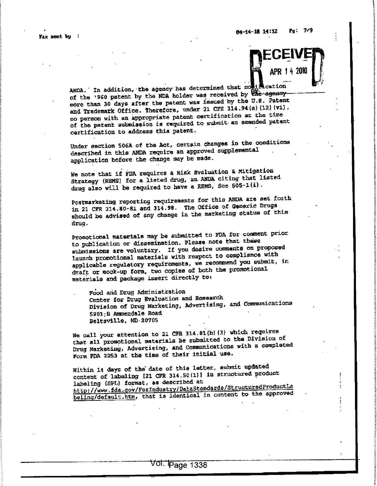Fax sent by

ANDA. In addition, the agency has determined that no **i 阈**cation of the '960 patent by the NDA holder was received by the agency more than 30 days after the patent was issued by the U.S. Patent and Trademark Office. Therefore, under 21 CFR 314.94(a)(12)(vi), no person with an appropriate patent certification at the time of the patent submission is required to submit an amended patent certification to address this patent.

Under section 506A of the Act, certain changes in the conditions described in this ANDA require an approved supplemental application before the change may be made.

We note that if FDA requires a Risk Evaluation & Mitigation Strategy (REMS) for a listed drug, an ANDA citing that listed drug also will be required to have a REMS, See 505-1(i).

Postmarketing reporting requirements for this ANDA are set forth in 21 CFR 314.80-81 and 314.98. The Office of Generic Drugs should be advised of any change in the marketing status of this drug.

Promotional materials may be submitted to FDA for comment prior to publication or dissemination. Please note that these submissions are voluntary. If you desire comments on proposed launch promotional materials with respect to compliance with applicable regulatory requirements, we recommend you submit, in draft or mock-up form, two copies of both the promotional materials and package insert directly to:

Food and Drug Administration Center for Drug Evaluation and Research Division of Drug Marketing, Advertising, and Communications 5901-B Ammendale Road Beltsville, MD 20705

We call your attention to 21 CFR 314.81(b) (3) which requires that all promotional materials be submitted to the Division of Drug Marketing, Advertising, and Communications with a completed Form FDA 2253 at the time of their initial use.

Within 14 days of the date of this letter, submit updated content of labeling [21 CFR 314.50(1)] in structured product labeling (SPL) format, as described at http://www.fda.gov/ForIndustry/DataStandards/StrugturedProductLa beling/default.htm, that is identical in content to the approved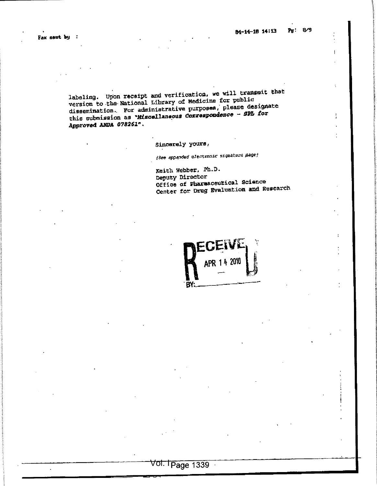$\ddot{\phantom{a}}$ 

 $\ddot{.}$ 

labeling. Upon receipt and verification, we will transmit that version to the National Library of Medicine for public dissemination. For administrative purposes, please designate this submission as "Miscellaneous Correspondence - SPL for Approved ANDA 078261".

Sincerely yours,

(See appended cleatrnnic signature page)

Keith Webber, Ph.D. Deputy Director Office of Pharmaceutical Science Center for Drug Evaluation and Research

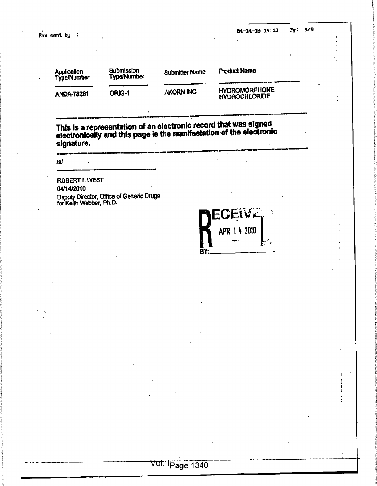Fax sent by :

 $Pg: 9/9$ 84-14-18 14:13

 $\frac{1}{4}$ 

| Application<br><b>Type/Number</b> | Submission ·<br><b>Type/Number</b> | <b>Submitter Name</b> | <b>Product Name</b>                   | - |
|-----------------------------------|------------------------------------|-----------------------|---------------------------------------|---|
| <b>ANDA-78261</b>                 | ORIG-1                             | AKORN INC             | <b>HYDROMORPHONE</b><br>HYDROCHLORIDE |   |

This is a representation of an electronic record that was signed<br>electronically and this page is the manifestation of the electronic signature.

jsj

**ROBERT L WEST** 04/14/2010

Deputy Director, Office of Generic Drugs<br>for Keith Webber, Ph.D.